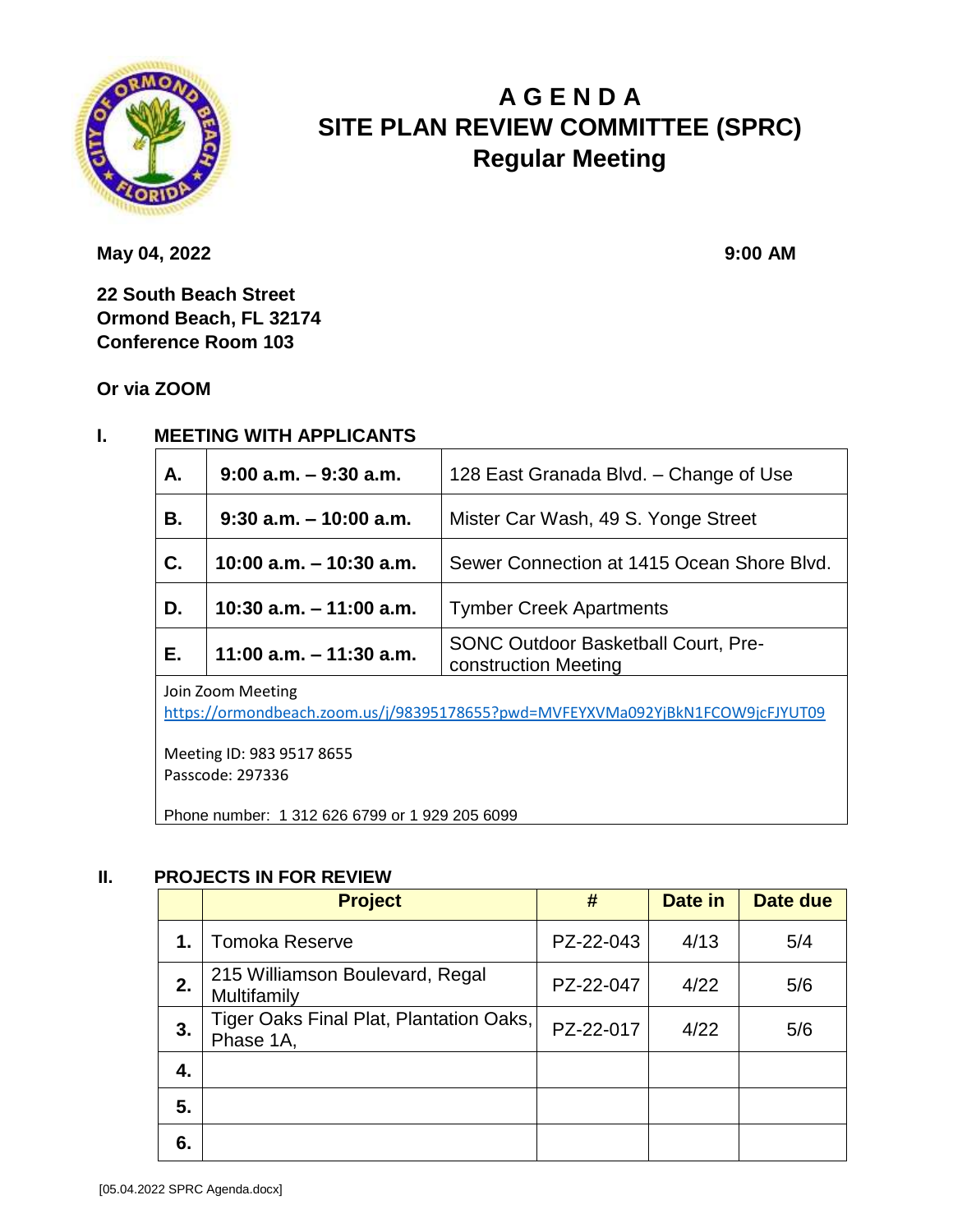

# **A G E N D A SITE PLAN REVIEW COMMITTEE (SPRC) Regular Meeting**

**May 04, 2022 9:00 AM** 

**22 South Beach Street Ormond Beach, FL 32174 Conference Room 103**

**Or via ZOOM**

#### **I. MEETING WITH APPLICANTS**

| A.        | $9:00$ a.m. $-9:30$ a.m.   | 128 East Granada Blvd. – Change of Use                             |
|-----------|----------------------------|--------------------------------------------------------------------|
| <b>B.</b> | $9:30$ a.m. $-10:00$ a.m.  | Mister Car Wash, 49 S. Yonge Street                                |
| C.        | $10:00$ a.m. $-10:30$ a.m. | Sewer Connection at 1415 Ocean Shore Blvd.                         |
| D.        | 10:30 a.m. $-$ 11:00 a.m.  | <b>Tymber Creek Apartments</b>                                     |
| E.        | 11:00 a.m. $-$ 11:30 a.m.  | <b>SONC Outdoor Basketball Court, Pre-</b><br>construction Meeting |

Join Zoom Meeting <https://ormondbeach.zoom.us/j/98395178655?pwd=MVFEYXVMa092YjBkN1FCOW9jcFJYUT09>

Meeting ID: 983 9517 8655 Passcode: 297336

Phone number: 1 312 626 6799 or 1 929 205 6099

#### **II. PROJECTS IN FOR REVIEW**

|    | <b>Project</b>                                       | #         | Date in | Date due |
|----|------------------------------------------------------|-----------|---------|----------|
| 1. | <b>Tomoka Reserve</b>                                | PZ-22-043 | 4/13    | 5/4      |
| 2. | 215 Williamson Boulevard, Regal<br>Multifamily       | PZ-22-047 | 4/22    | 5/6      |
| 3. | Tiger Oaks Final Plat, Plantation Oaks,<br>Phase 1A, | PZ-22-017 | 4/22    | 5/6      |
| 4. |                                                      |           |         |          |
| 5. |                                                      |           |         |          |
| 6. |                                                      |           |         |          |